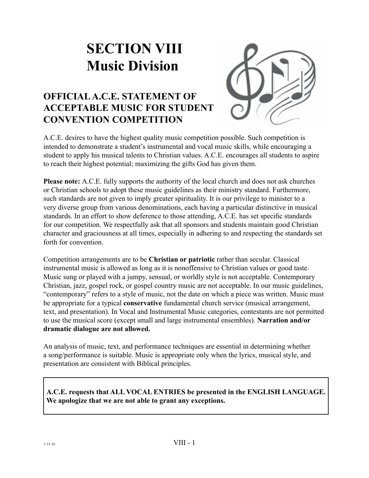# **SECTION VIII Music Division**



# **OFFICIAL A.C.E. STATEMENT OF ACCEPTABLE MUSIC FOR STUDENT CONVENTION COMPETITION**

A.C.E. desires to have the highest quality music competition possible. Such competition is intended to demonstrate a student's instrumental and vocal music skills, while encouraging a student to apply his musical talents to Christian values. A.C.E. encourages all students to aspire to reach their highest potential; maximizing the gifts God has given them.

**Please note:** A.C.E. fully supports the authority of the local church and does not ask churches or Christian schools to adopt these music guidelines as their ministry standard. Furthermore, such standards are not given to imply greater spirituality. It is our privilege to minister to a very diverse group from various denominations, each having a particular distinctive in musical standards. In an effort to show deference to those attending, A.C.E. has set specific standards for our competition. We respectfully ask that all sponsors and students maintain good Christian character and graciousness at all times, especially in adhering to and respecting the standards set forth for convention.

Competition arrangements are to be **Christian or patriotic** rather than secular. Classical instrumental music is allowed as long as it is nonoffensive to Christian values or good taste. Music sung or played with a jumpy, sensual, or worldly style is not acceptable. Contemporary Christian, jazz, gospel rock, or gospel country music are not acceptable. In our music guidelines, "contemporary" refers to a style of music, not the date on which a piece was written. Music must be appropriate for a typical **conservative** fundamental church service (musical arrangement, text, and presentation). In Vocal and Instrumental Music categories, contestants are not permitted to use the musical score (except small and large instrumental ensembles). **Narration and/or dramatic dialogue are not allowed.**

An analysis of music, text, and performance techniques are essential in determining whether a song/performance is suitable. Music is appropriate only when the lyrics, musical style, and presentation are consistent with Biblical principles.

**A.C.E. requests that ALL VOCAL ENTRIES be presented in the ENGLISH LANGUAGE. We apologize that we are not able to grant any exceptions.**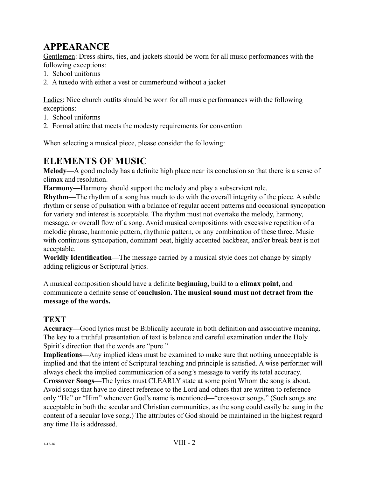# **APPEARANCE**

Gentlemen: Dress shirts, ties, and jackets should be worn for all music performances with the following exceptions:

- 1. School uniforms
- 2. A tuxedo with either a vest or cummerbund without a jacket

Ladies: Nice church outfits should be worn for all music performances with the following exceptions:

- 1. School uniforms
- 2. Formal attire that meets the modesty requirements for convention

When selecting a musical piece, please consider the following:

# **ELEMENTS OF MUSIC**

**Melody—**A good melody has a definite high place near its conclusion so that there is a sense of climax and resolution.

**Harmony—**Harmony should support the melody and play a subservient role.

**Rhythm—**The rhythm of a song has much to do with the overall integrity of the piece. A subtle rhythm or sense of pulsation with a balance of regular accent patterns and occasional syncopation for variety and interest is acceptable. The rhythm must not overtake the melody, harmony, message, or overall flow of a song. Avoid musical compositions with excessive repetition of a melodic phrase, harmonic pattern, rhythmic pattern, or any combination of these three. Music with continuous syncopation, dominant beat, highly accented backbeat, and/or break beat is not acceptable.

**Worldly Identification—**The message carried by a musical style does not change by simply adding religious or Scriptural lyrics.

A musical composition should have a definite **beginning,** build to a **climax point,** and communicate a definite sense of **conclusion. The musical sound must not detract from the message of the words.**

# **TEXT**

**Accuracy—**Good lyrics must be Biblically accurate in both definition and associative meaning. The key to a truthful presentation of text is balance and careful examination under the Holy Spirit's direction that the words are "pure."

**Implications—**Any implied ideas must be examined to make sure that nothing unacceptable is implied and that the intent of Scriptural teaching and principle is satisfied. A wise performer will always check the implied communication of a song's message to verify its total accuracy.

**Crossover Songs—**The lyrics must CLEARLY state at some point Whom the song is about. Avoid songs that have no direct reference to the Lord and others that are written to reference only "He" or "Him" whenever God's name is mentioned—"crossover songs." (Such songs are acceptable in both the secular and Christian communities, as the song could easily be sung in the content of a secular love song.) The attributes of God should be maintained in the highest regard any time He is addressed.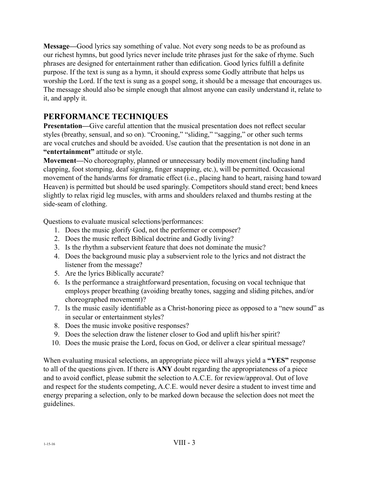**Message—**Good lyrics say something of value. Not every song needs to be as profound as our richest hymns, but good lyrics never include trite phrases just for the sake of rhyme. Such phrases are designed for entertainment rather than edification. Good lyrics fulfill a definite purpose. If the text is sung as a hymn, it should express some Godly attribute that helps us worship the Lord. If the text is sung as a gospel song, it should be a message that encourages us. The message should also be simple enough that almost anyone can easily understand it, relate to it, and apply it.

# **PERFORMANCE TECHNIQUES**

**Presentation—**Give careful attention that the musical presentation does not reflect secular styles (breathy, sensual, and so on). "Crooning," "sliding," "sagging," or other such terms are vocal crutches and should be avoided. Use caution that the presentation is not done in an **"entertainment"** attitude or style.

**Movement—**No choreography, planned or unnecessary bodily movement (including hand clapping, foot stomping, deaf signing, finger snapping, etc.), will be permitted. Occasional movement of the hands/arms for dramatic effect (i.e., placing hand to heart, raising hand toward Heaven) is permitted but should be used sparingly. Competitors should stand erect; bend knees slightly to relax rigid leg muscles, with arms and shoulders relaxed and thumbs resting at the side-seam of clothing.

Questions to evaluate musical selections/performances:

- 1. Does the music glorify God, not the performer or composer?
- 2. Does the music reflect Biblical doctrine and Godly living?
- 3. Is the rhythm a subservient feature that does not dominate the music?
- 4. Does the background music play a subservient role to the lyrics and not distract the listener from the message?
- 5. Are the lyrics Biblically accurate?
- 6. Is the performance a straightforward presentation, focusing on vocal technique that employs proper breathing (avoiding breathy tones, sagging and sliding pitches, and/or choreographed movement)?
- 7. Is the music easily identifiable as a Christ-honoring piece as opposed to a "new sound" as in secular or entertainment styles?
- 8. Does the music invoke positive responses?
- 9. Does the selection draw the listener closer to God and uplift his/her spirit?
- 10. Does the music praise the Lord, focus on God, or deliver a clear spiritual message?

When evaluating musical selections, an appropriate piece will always yield a **"YES"** response to all of the questions given. If there is **ANY** doubt regarding the appropriateness of a piece and to avoid conflict, please submit the selection to A.C.E. for review/approval. Out of love and respect for the students competing, A.C.E. would never desire a student to invest time and energy preparing a selection, only to be marked down because the selection does not meet the guidelines.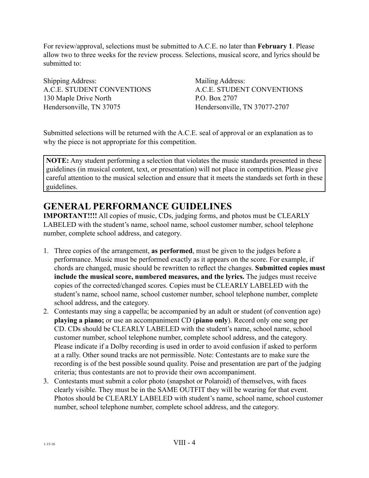For review/approval, selections must be submitted to A.C.E. no later than **February 1**. Please allow two to three weeks for the review process. Selections, musical score, and lyrics should be submitted to:

Shipping Address: Mailing Address: A.C.E. STUDENT CONVENTIONS A.C.E. STUDENT CONVENTIONS 130 Maple Drive North P.O. Box 2707 Hendersonville, TN 37075 Hendersonville, TN 37077-2707

Submitted selections will be returned with the A.C.E. seal of approval or an explanation as to why the piece is not appropriate for this competition.

**NOTE:** Any student performing a selection that violates the music standards presented in these guidelines (in musical content, text, or presentation) will not place in competition. Please give careful attention to the musical selection and ensure that it meets the standards set forth in these guidelines.

# **GENERAL PERFORMANCE GUIDELINES**

**IMPORTANT!!!!** All copies of music, CDs, judging forms, and photos must be CLEARLY LABELED with the student's name, school name, school customer number, school telephone number, complete school address, and category.

- 1. Three copies of the arrangement, **as performed**, must be given to the judges before a performance. Music must be performed exactly as it appears on the score. For example, if chords are changed, music should be rewritten to reflect the changes. **Submitted copies must include the musical score, numbered measures, and the lyrics.** The judges must receive copies of the corrected/changed scores. Copies must be CLEARLY LABELED with the student's name, school name, school customer number, school telephone number, complete school address, and the category.
- 2. Contestants may sing a cappella; be accompanied by an adult or student (of convention age) **playing a piano;** or use an accompaniment CD (**piano only**). Record only one song per CD. CDs should be CLEARLY LABELED with the student's name, school name, school customer number, school telephone number, complete school address, and the category. Please indicate if a Dolby recording is used in order to avoid confusion if asked to perform at a rally. Other sound tracks are not permissible. Note: Contestants are to make sure the recording is of the best possible sound quality. Poise and presentation are part of the judging criteria; thus contestants are not to provide their own accompaniment.
- 3. Contestants must submit a color photo (snapshot or Polaroid) of themselves, with faces clearly visible. They must be in the SAME OUTFIT they will be wearing for that event. Photos should be CLEARLY LABELED with student's name, school name, school customer number, school telephone number, complete school address, and the category.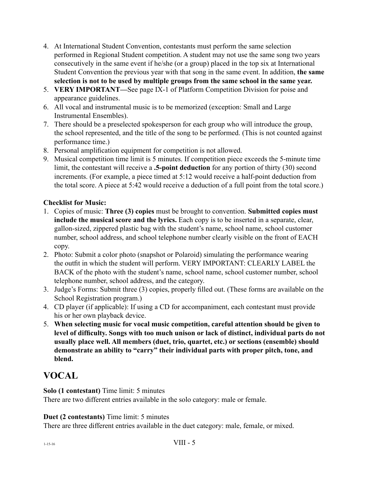- 4. At International Student Convention, contestants must perform the same selection performed in Regional Student competition. A student may not use the same song two years consecutively in the same event if he/she (or a group) placed in the top six at International Student Convention the previous year with that song in the same event. In addition, **the same selection is not to be used by multiple groups from the same school in the same year.**
- 5. **VERY IMPORTANT—**See page IX-1 of Platform Competition Division for poise and appearance guidelines.
- 6. All vocal and instrumental music is to be memorized (exception: Small and Large Instrumental Ensembles).
- 7. There should be a preselected spokesperson for each group who will introduce the group, the school represented, and the title of the song to be performed. (This is not counted against performance time.)
- 8. Personal amplification equipment for competition is not allowed.
- 9. Musical competition time limit is 5 minutes. If competition piece exceeds the 5-minute time limit, the contestant will receive a **.5-point deduction** for any portion of thirty (30) second increments. (For example, a piece timed at 5:12 would receive a half-point deduction from the total score. A piece at 5:42 would receive a deduction of a full point from the total score.)

# **Checklist for Music:**

- 1. Copies of music: **Three (3) copies** must be brought to convention. **Submitted copies must include the musical score and the lyrics.** Each copy is to be inserted in a separate, clear, gallon-sized, zippered plastic bag with the student's name, school name, school customer number, school address, and school telephone number clearly visible on the front of EACH copy.
- 2. Photo: Submit a color photo (snapshot or Polaroid) simulating the performance wearing the outfit in which the student will perform. VERY IMPORTANT: CLEARLY LABEL the BACK of the photo with the student's name, school name, school customer number, school telephone number, school address, and the category.
- 3. Judge's Forms: Submit three (3) copies, properly filled out. (These forms are available on the School Registration program.)
- 4. CD player (if applicable): If using a CD for accompaniment, each contestant must provide his or her own playback device.
- 5. **When selecting music for vocal music competition, careful attention should be given to level of difficulty. Songs with too much unison or lack of distinct, individual parts do not usually place well. All members (duet, trio, quartet, etc.) or sections (ensemble) should demonstrate an ability to "carry" their individual parts with proper pitch, tone, and blend.**

# **VOCAL**

**Solo (1 contestant)** Time limit: 5 minutes

There are two different entries available in the solo category: male or female.

# **Duet (2 contestants)** Time limit: 5 minutes

There are three different entries available in the duet category: male, female, or mixed.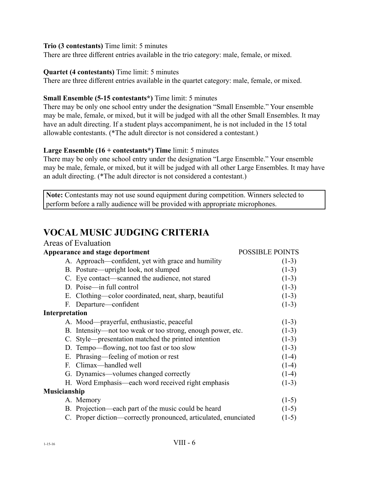#### **Trio (3 contestants)** Time limit: 5 minutes

There are three different entries available in the trio category: male, female, or mixed.

#### **Quartet (4 contestants)** Time limit: 5 minutes

There are three different entries available in the quartet category: male, female, or mixed.

### **Small Ensemble (5-15 contestants\*)** Time limit: 5 minutes

There may be only one school entry under the designation "Small Ensemble." Your ensemble may be male, female, or mixed, but it will be judged with all the other Small Ensembles. It may have an adult directing. If a student plays accompaniment, he is not included in the 15 total allowable contestants. (\*The adult director is not considered a contestant.)

### **Large Ensemble (16 + contestants\*) Time** limit: 5 minutes

There may be only one school entry under the designation "Large Ensemble." Your ensemble may be male, female, or mixed, but it will be judged with all other Large Ensembles. It may have an adult directing. (\*The adult director is not considered a contestant.)

**Note:** Contestants may not use sound equipment during competition. Winners selected to perform before a rally audience will be provided with appropriate microphones.

#### **VOCAL MUSIC JUDGING CRITERIA** Areas of Evaluation

|                     | Aleas of Evaluation                                             |                        |
|---------------------|-----------------------------------------------------------------|------------------------|
|                     | Appearance and stage deportment                                 | <b>POSSIBLE POINTS</b> |
|                     | A. Approach—confident, yet with grace and humility              | $(1-3)$                |
|                     | B. Posture—upright look, not slumped                            | $(1-3)$                |
|                     | C. Eye contact—scanned the audience, not stared                 | $(1-3)$                |
|                     | D. Poise—in full control                                        | $(1-3)$                |
|                     | E. Clothing—color coordinated, neat, sharp, beautiful           | $(1-3)$                |
|                     | F. Departure—confident                                          | $(1-3)$                |
| Interpretation      |                                                                 |                        |
|                     | A. Mood—prayerful, enthusiastic, peaceful                       | $(1-3)$                |
|                     | B. Intensity—not too weak or too strong, enough power, etc.     | $(1-3)$                |
|                     | C. Style—presentation matched the printed intention             | $(1-3)$                |
|                     | D. Tempo—flowing, not too fast or too slow                      | $(1-3)$                |
|                     | E. Phrasing—feeling of motion or rest                           | $(1-4)$                |
|                     | F. Climax—handled well                                          | $(1-4)$                |
|                     | G. Dynamics—volumes changed correctly                           | $(1-4)$                |
|                     | H. Word Emphasis—each word received right emphasis              | $(1-3)$                |
| <b>Musicianship</b> |                                                                 |                        |
|                     | A. Memory                                                       | $(1-5)$                |
|                     | B. Projection—each part of the music could be heard             | $(1-5)$                |
|                     | C. Proper diction—correctly pronounced, articulated, enunciated | $(1-5)$                |
|                     |                                                                 |                        |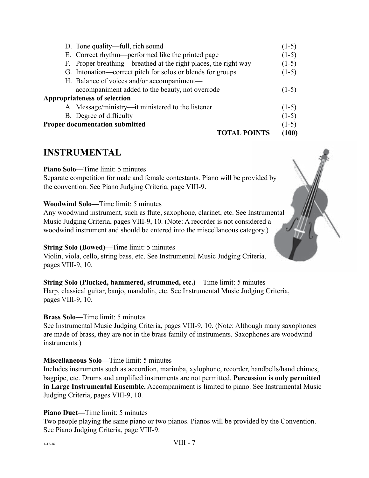| D. Tone quality—full, rich sound                                | $(1-5)$ |
|-----------------------------------------------------------------|---------|
| E. Correct rhythm—performed like the printed page               | $(1-5)$ |
| F. Proper breathing—breathed at the right places, the right way | $(1-5)$ |
| G. Intonation—correct pitch for solos or blends for groups      | $(1-5)$ |
| H. Balance of voices and/or accompaniment—                      |         |
| accompaniment added to the beauty, not overrode                 | $(1-5)$ |
| <b>Appropriateness of selection</b>                             |         |
| A. Message/ministry—it ministered to the listener               | $(1-5)$ |
| B. Degree of difficulty                                         | $(1-5)$ |
| <b>Proper documentation submitted</b>                           | $(1-5)$ |
| <b>TOTAL POINTS</b>                                             | (100)   |

# **INSTRUMENTAL**

#### **Piano Solo—**Time limit: 5 minutes

Separate competition for male and female contestants. Piano will be provided by the convention. See Piano Judging Criteria, page VIII-9.

#### **Woodwind Solo—**Time limit: 5 minutes

Any woodwind instrument, such as flute, saxophone, clarinet, etc. See Instrumental Music Judging Criteria, pages VIII-9, 10. (Note: A recorder is not considered a woodwind instrument and should be entered into the miscellaneous category.)

### **String Solo (Bowed)—**Time limit: 5 minutes

Violin, viola, cello, string bass, etc. See Instrumental Music Judging Criteria, pages VIII-9, 10.

**String Solo (Plucked, hammered, strummed, etc.)—**Time limit: 5 minutes Harp, classical guitar, banjo, mandolin, etc. See Instrumental Music Judging Criteria, pages VIII-9, 10.

### **Brass Solo—**Time limit: 5 minutes

See Instrumental Music Judging Criteria, pages VIII-9, 10. (Note: Although many saxophones are made of brass, they are not in the brass family of instruments. Saxophones are woodwind instruments.)

### **Miscellaneous Solo—**Time limit: 5 minutes

Includes instruments such as accordion, marimba, xylophone, recorder, handbells/hand chimes, bagpipe, etc. Drums and amplified instruments are not permitted. **Percussion is only permitted in Large Instrumental Ensemble.** Accompaniment is limited to piano. See Instrumental Music Judging Criteria, pages VIII-9, 10.

### **Piano Duet—**Time limit: 5 minutes

Two people playing the same piano or two pianos. Pianos will be provided by the Convention. See Piano Judging Criteria, page VIII-9.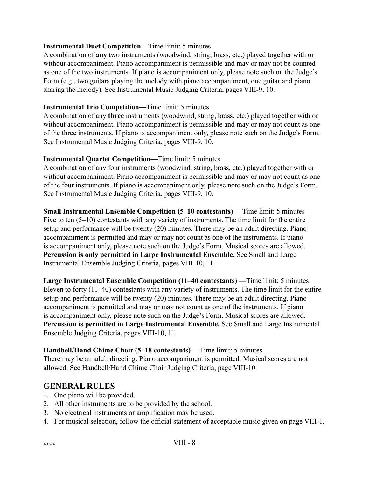### **Instrumental Duet Competition—**Time limit: 5 minutes

A combination of **any** two instruments (woodwind, string, brass, etc.) played together with or without accompaniment. Piano accompaniment is permissible and may or may not be counted as one of the two instruments. If piano is accompaniment only, please note such on the Judge's Form (e.g., two guitars playing the melody with piano accompaniment, one guitar and piano sharing the melody). See Instrumental Music Judging Criteria, pages VIII-9, 10.

# **Instrumental Trio Competition—**Time limit: 5 minutes

A combination of any **three** instruments (woodwind, string, brass, etc.) played together with or without accompaniment. Piano accompaniment is permissible and may or may not count as one of the three instruments. If piano is accompaniment only, please note such on the Judge's Form. See Instrumental Music Judging Criteria, pages VIII-9, 10.

# **Instrumental Quartet Competition—**Time limit: 5 minutes

A combination of any four instruments (woodwind, string, brass, etc.) played together with or without accompaniment. Piano accompaniment is permissible and may or may not count as one of the four instruments. If piano is accompaniment only, please note such on the Judge's Form. See Instrumental Music Judging Criteria, pages VIII-9, 10.

**Small Instrumental Ensemble Competition (5–10 contestants) —**Time limit: 5 minutes Five to ten  $(5-10)$  contestants with any variety of instruments. The time limit for the entire setup and performance will be twenty (20) minutes. There may be an adult directing. Piano accompaniment is permitted and may or may not count as one of the instruments. If piano is accompaniment only, please note such on the Judge's Form. Musical scores are allowed. **Percussion is only permitted in Large Instrumental Ensemble.** See Small and Large Instrumental Ensemble Judging Criteria, pages VIII-10, 11.

**Large Instrumental Ensemble Competition (11–40 contestants) —**Time limit: 5 minutes Eleven to forty (11–40) contestants with any variety of instruments. The time limit for the entire setup and performance will be twenty (20) minutes. There may be an adult directing. Piano accompaniment is permitted and may or may not count as one of the instruments. If piano is accompaniment only, please note such on the Judge's Form. Musical scores are allowed. **Percussion is permitted in Large Instrumental Ensemble.** See Small and Large Instrumental Ensemble Judging Criteria, pages VIII-10, 11.

**Handbell/Hand Chime Choir (5–18 contestants) —**Time limit: 5 minutes There may be an adult directing. Piano accompaniment is permitted. Musical scores are not allowed. See Handbell/Hand Chime Choir Judging Criteria, page VIII-10.

# **GENERAL RULES**

- 1. One piano will be provided.
- 2. All other instruments are to be provided by the school.
- 3. No electrical instruments or amplification may be used.
- 4. For musical selection, follow the official statement of acceptable music given on page VIII-1.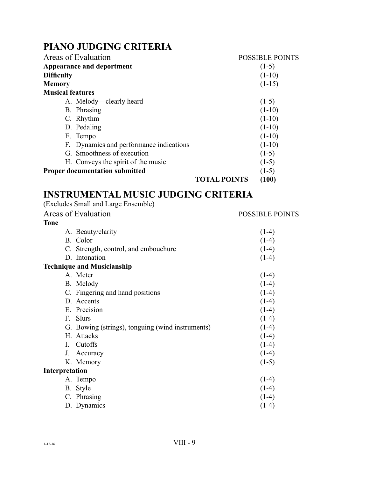# **PIANO JUDGING CRITERIA**

| Areas of Evaluation                     |                     | <b>POSSIBLE POINTS</b> |
|-----------------------------------------|---------------------|------------------------|
| <b>Appearance and deportment</b>        |                     | $(1-5)$                |
| <b>Difficulty</b>                       |                     | $(1-10)$               |
| <b>Memory</b>                           |                     | $(1-15)$               |
| <b>Musical features</b>                 |                     |                        |
| A. Melody—clearly heard                 |                     | $(1-5)$                |
| B. Phrasing                             |                     | $(1-10)$               |
| C. Rhythm                               |                     | $(1-10)$               |
| D. Pedaling                             |                     | $(1-10)$               |
| E. Tempo                                |                     | $(1-10)$               |
| F. Dynamics and performance indications |                     | $(1-10)$               |
| G. Smoothness of execution              |                     | $(1-5)$                |
| H. Conveys the spirit of the music      |                     | $(1-5)$                |
| <b>Proper documentation submitted</b>   |                     | $(1-5)$                |
|                                         | <b>TOTAL POINTS</b> | (100)                  |

#### **INSTRUMENTAL MUSIC JUDGING CRITERIA**  $(T-1)$   $T$   $T$   $T$   $T$   $T$   $T$

| (Excludes Small and Large Ensemble)              |                        |
|--------------------------------------------------|------------------------|
| Areas of Evaluation                              | <b>POSSIBLE POINTS</b> |
| <b>Tone</b>                                      |                        |
| A. Beauty/clarity                                | $(1-4)$                |
| B. Color                                         | $(1-4)$                |
| C. Strength, control, and embouchure             | $(1-4)$                |
| D. Intonation                                    | $(1-4)$                |
| <b>Technique and Musicianship</b>                |                        |
| A. Meter                                         | $(1-4)$                |
| B. Melody                                        | $(1-4)$                |
| C. Fingering and hand positions                  | $(1-4)$                |
| D. Accents                                       | $(1-4)$                |
| E. Precision                                     | $(1-4)$                |
| Slurs<br>$F_{\cdot}$                             | $(1-4)$                |
| G. Bowing (strings), tonguing (wind instruments) | $(1-4)$                |
| H. Attacks                                       | $(1-4)$                |
| Cutoffs<br>$\mathbf{I}$ .                        | $(1-4)$                |
| $J_{-}$<br>Accuracy                              | $(1-4)$                |
| K. Memory                                        | $(1-5)$                |
| Interpretation                                   |                        |
| A. Tempo                                         | $(1-4)$                |
| B. Style                                         | $(1-4)$                |
| C. Phrasing                                      | $(1-4)$                |
| D. Dynamics                                      | $(1-4)$                |
|                                                  |                        |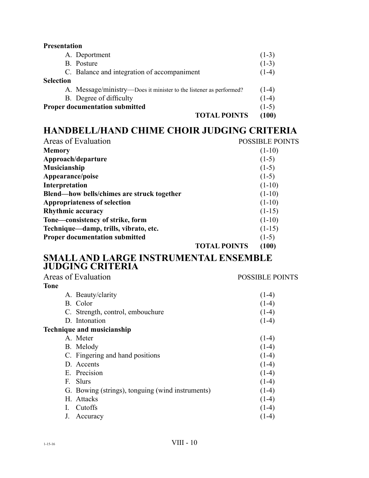| <b>Presentation</b>                                                |         |
|--------------------------------------------------------------------|---------|
| A. Deportment                                                      | $(1-3)$ |
| B. Posture                                                         | $(1-3)$ |
| C. Balance and integration of accompaniment                        | $(1-4)$ |
| <b>Selection</b>                                                   |         |
| A. Message/ministry-Does it minister to the listener as performed? | $(1-4)$ |
| B. Degree of difficulty                                            | $(1-4)$ |
| <b>Proper documentation submitted</b>                              | $(1-5)$ |
| <b>TOTAL POINTS</b>                                                | (100)   |

# **HANDBELL/HAND CHIME CHOIR JUDGING CRITERIA**

| Areas of Evaluation                        |                     | <b>POSSIBLE POINTS</b> |
|--------------------------------------------|---------------------|------------------------|
| <b>Memory</b>                              |                     | $(1-10)$               |
| Approach/departure                         |                     | $(1-5)$                |
| <b>Musicianship</b>                        |                     | $(1-5)$                |
| Appearance/poise                           |                     | $(1-5)$                |
| Interpretation                             |                     | $(1-10)$               |
| Blend—how bells/chimes are struck together |                     | $(1-10)$               |
| <b>Appropriateness of selection</b>        |                     | $(1-10)$               |
| <b>Rhythmic accuracy</b>                   |                     | $(1-15)$               |
| Tone—consistency of strike, form           |                     | $(1-10)$               |
| Technique—damp, trills, vibrato, etc.      |                     | $(1-15)$               |
| <b>Proper documentation submitted</b>      |                     | $(1-5)$                |
|                                            | <b>TOTAL POINTS</b> | (100)                  |

# **SMALL AND LARGE INSTRUMENTAL ENSEMBLE JUDGING CRITERIA**

| Areas of Evaluation                              | <b>POSSIBLE POINTS</b> |
|--------------------------------------------------|------------------------|
| Tone                                             |                        |
| A. Beauty/clarity                                | $(1-4)$                |
| B. Color                                         | $(1-4)$                |
| C. Strength, control, embouchure                 | $(1-4)$                |
| D. Intonation                                    | $(1-4)$                |
| <b>Technique and musicianship</b>                |                        |
| A. Meter                                         | $(1-4)$                |
| B. Melody                                        | $(1-4)$                |
| C. Fingering and hand positions                  | $(1-4)$                |
| D. Accents                                       | $(1-4)$                |
| E. Precision                                     | $(1-4)$                |
| F. Slurs                                         | $(1-4)$                |
| G. Bowing (strings), tonguing (wind instruments) | $(1-4)$                |
| H. Attacks                                       | $(1-4)$                |
| Cutoffs                                          | $(1-4)$                |
| Accuracy                                         | $(1-4)$                |
|                                                  |                        |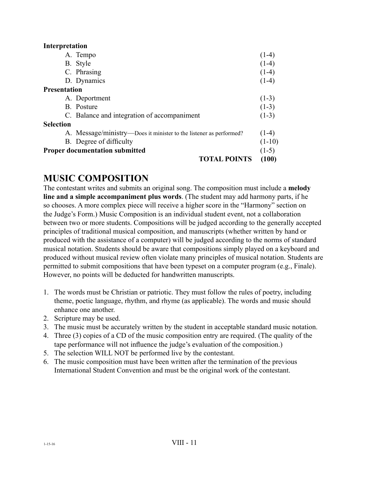### **Interpretation**

|                     | <b>TOTAL POINTS</b>                                                | (100)    |
|---------------------|--------------------------------------------------------------------|----------|
|                     | <b>Proper documentation submitted</b>                              | $(1-5)$  |
|                     | B. Degree of difficulty                                            | $(1-10)$ |
|                     | A. Message/ministry—Does it minister to the listener as performed? | $(1-4)$  |
| <b>Selection</b>    |                                                                    |          |
|                     | C. Balance and integration of accompaniment                        | $(1-3)$  |
|                     | <b>B.</b> Posture                                                  | $(1-3)$  |
|                     | A. Deportment                                                      | $(1-3)$  |
| <b>Presentation</b> |                                                                    |          |
|                     | D. Dynamics                                                        | $(1-4)$  |
|                     | C. Phrasing                                                        | $(1-4)$  |
|                     | B. Style                                                           | $(1-4)$  |
|                     | A. Tempo                                                           | $(1-4)$  |
|                     |                                                                    |          |

# **MUSIC COMPOSITION**

The contestant writes and submits an original song. The composition must include a **melody line and a simple accompaniment plus words**. (The student may add harmony parts, if he so chooses. A more complex piece will receive a higher score in the "Harmony" section on the Judge's Form.) Music Composition is an individual student event, not a collaboration between two or more students. Compositions will be judged according to the generally accepted principles of traditional musical composition, and manuscripts (whether written by hand or produced with the assistance of a computer) will be judged according to the norms of standard musical notation. Students should be aware that compositions simply played on a keyboard and produced without musical review often violate many principles of musical notation. Students are permitted to submit compositions that have been typeset on a computer program (e.g., Finale). However, no points will be deducted for handwritten manuscripts.

- 1. The words must be Christian or patriotic. They must follow the rules of poetry, including theme, poetic language, rhythm, and rhyme (as applicable). The words and music should enhance one another.
- 2. Scripture may be used.
- 3. The music must be accurately written by the student in acceptable standard music notation.
- 4. Three (3) copies of a CD of the music composition entry are required. (The quality of the tape performance will not influence the judge's evaluation of the composition.)
- 5. The selection WILL NOT be performed live by the contestant.
- 6. The music composition must have been written after the termination of the previous International Student Convention and must be the original work of the contestant.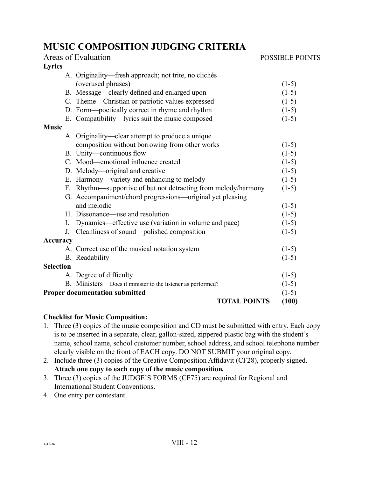# **MUSIC COMPOSITION JUDGING CRITERIA**

|                  | Areas of Evaluation                                            | <b>POSSIBLE POINTS</b> |
|------------------|----------------------------------------------------------------|------------------------|
| Lyrics           |                                                                |                        |
|                  | A. Originality-fresh approach; not trite, no clichés           |                        |
|                  | (overused phrases)                                             | $(1-5)$                |
|                  | B. Message—clearly defined and enlarged upon                   | $(1-5)$                |
|                  | C. Theme-Christian or patriotic values expressed               | $(1-5)$                |
|                  | D. Form—poetically correct in rhyme and rhythm                 | $(1-5)$                |
|                  | E. Compatibility—lyrics suit the music composed                | $(1-5)$                |
| <b>Music</b>     |                                                                |                        |
|                  | A. Originality—clear attempt to produce a unique               |                        |
|                  | composition without borrowing from other works                 | $(1-5)$                |
|                  | B. Unity-continuous flow                                       | $(1-5)$                |
|                  | C. Mood—emotional influence created                            | $(1-5)$                |
|                  | D. Melody—original and creative                                | $(1-5)$                |
|                  | E. Harmony—variety and enhancing to melody                     | $(1-5)$                |
|                  | F. Rhythm—supportive of but not detracting from melody/harmony | $(1-5)$                |
|                  | G. Accompaniment/chord progressions—original yet pleasing      |                        |
|                  | and melodic                                                    | $(1-5)$                |
|                  | H. Dissonance—use and resolution                               | $(1-5)$                |
| I.               | Dynamics—effective use (variation in volume and pace)          | $(1-5)$                |
| J.               | Cleanliness of sound—polished composition                      | $(1-5)$                |
| <b>Accuracy</b>  |                                                                |                        |
|                  | A. Correct use of the musical notation system                  | $(1-5)$                |
|                  | B. Readability                                                 | $(1-5)$                |
| <b>Selection</b> |                                                                |                        |
|                  | A. Degree of difficulty                                        | $(1-5)$                |
|                  | B. Ministers—Does it minister to the listener as performed?    | $(1-5)$                |
|                  | <b>Proper documentation submitted</b>                          | $(1-5)$                |
|                  | <b>TOTAL POINTS</b>                                            | (100)                  |

### **Checklist for Music Composition:**

- 1. Three (3) copies of the music composition and CD must be submitted with entry. Each copy is to be inserted in a separate, clear, gallon-sized, zippered plastic bag with the student's name, school name, school customer number, school address, and school telephone number clearly visible on the front of EACH copy. DO NOT SUBMIT your original copy.
- 2. Include three (3) copies of the Creative Composition Affidavit (CF28), properly signed. **Attach one copy to each copy of the music composition***.*
- 3. Three (3) copies of the JUDGE'S FORMS (CF75) are required for Regional and International Student Conventions.
- 4. One entry per contestant.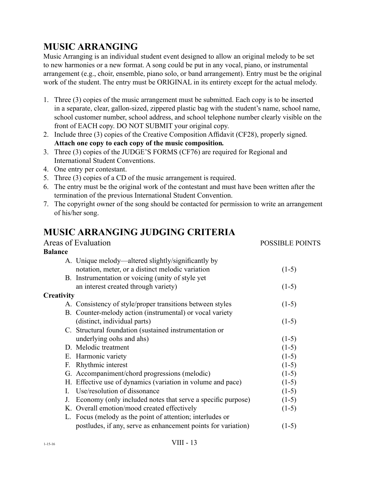# $1-15-16$  VIII - 13

# **MUSIC ARRANGING**

Music Arranging is an individual student event designed to allow an original melody to be set to new harmonies or a new format. A song could be put in any vocal, piano, or instrumental arrangement (e.g., choir, ensemble, piano solo, or band arrangement). Entry must be the original work of the student. The entry must be ORIGINAL in its entirety except for the actual melody.

- 1. Three (3) copies of the music arrangement must be submitted. Each copy is to be inserted in a separate, clear, gallon-sized, zippered plastic bag with the student's name, school name, school customer number, school address, and school telephone number clearly visible on the front of EACH copy. DO NOT SUBMIT your original copy.
- 2. Include three (3) copies of the Creative Composition Affidavit (CF28), properly signed. **Attach one copy to each copy of the music composition***.*
- 3. Three (3) copies of the JUDGE'S FORMS (CF76) are required for Regional and International Student Conventions.
- 4. One entry per contestant.
- 5. Three (3) copies of a CD of the music arrangement is required.
- 6. The entry must be the original work of the contestant and must have been written after the termination of the previous International Student Convention.
- 7. The copyright owner of the song should be contacted for permission to write an arrangement of his/her song.

# **MUSIC ARRANGING JUDGING CRITERIA**

|                | Areas of Evaluation                                           | <b>POSSIBLE POINTS</b> |
|----------------|---------------------------------------------------------------|------------------------|
| <b>Balance</b> |                                                               |                        |
|                | A. Unique melody—altered slightly/significantly by            |                        |
|                | notation, meter, or a distinct melodic variation              | $(1-5)$                |
|                | B. Instrumentation or voicing (unity of style yet             |                        |
|                | an interest created through variety)                          | $(1-5)$                |
| Creativity     |                                                               |                        |
|                | A. Consistency of style/proper transitions between styles     | $(1-5)$                |
|                | B. Counter-melody action (instrumental) or vocal variety      |                        |
|                | (distinct, individual parts)                                  | $(1-5)$                |
|                | C. Structural foundation (sustained instrumentation or        |                        |
|                | underlying oohs and ahs)                                      | $(1-5)$                |
|                | D. Melodic treatment                                          | $(1-5)$                |
|                | E. Harmonic variety                                           | $(1-5)$                |
| F.             | Rhythmic interest                                             | $(1-5)$                |
|                | G. Accompaniment/chord progressions (melodic)                 | $(1-5)$                |
|                | H. Effective use of dynamics (variation in volume and pace)   | $(1-5)$                |
| I.             | Use/resolution of dissonance                                  | $(1-5)$                |
| J.             | Economy (only included notes that serve a specific purpose)   | $(1-5)$                |
|                | K. Overall emotion/mood created effectively                   | $(1-5)$                |
|                | L. Focus (melody as the point of attention; interludes or     |                        |
|                | postludes, if any, serve as enhancement points for variation) | $(1-5)$                |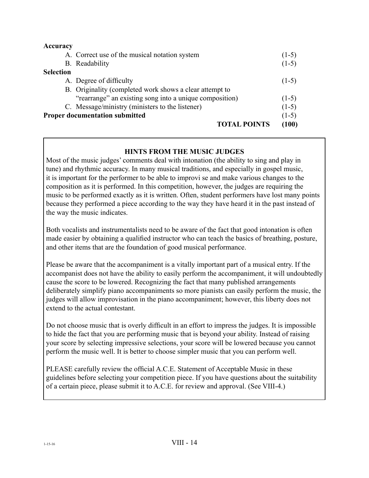| Accuracy         |                                                         |         |
|------------------|---------------------------------------------------------|---------|
|                  | A. Correct use of the musical notation system           | $(1-5)$ |
|                  | B. Readability                                          | $(1-5)$ |
| <b>Selection</b> |                                                         |         |
|                  | A. Degree of difficulty                                 | $(1-5)$ |
|                  | B. Originality (completed work shows a clear attempt to |         |
|                  | "rearrange" an existing song into a unique composition) | $(1-5)$ |
|                  | C. Message/ministry (ministers to the listener)         | $(1-5)$ |
|                  | <b>Proper documentation submitted</b>                   | $(1-5)$ |
|                  | <b>TOTAL POINTS</b>                                     | (100)   |

# **HINTS FROM THE MUSIC JUDGES**

Most of the music judges' comments deal with intonation (the ability to sing and play in tune) and rhythmic accuracy. In many musical traditions, and especially in gospel music, it is important for the performer to be able to improvi se and make various changes to the composition as it is performed. In this competition, however, the judges are requiring the music to be performed exactly as it is written. Often, student performers have lost many points because they performed a piece according to the way they have heard it in the past instead of the way the music indicates.

Both vocalists and instrumentalists need to be aware of the fact that good intonation is often made easier by obtaining a qualified instructor who can teach the basics of breathing, posture, and other items that are the foundation of good musical performance.

Please be aware that the accompaniment is a vitally important part of a musical entry. If the accompanist does not have the ability to easily perform the accompaniment, it will undoubtedly cause the score to be lowered. Recognizing the fact that many published arrangements deliberately simplify piano accompaniments so more pianists can easily perform the music, the judges will allow improvisation in the piano accompaniment; however, this liberty does not extend to the actual contestant.

Do not choose music that is overly difficult in an effort to impress the judges. It is impossible to hide the fact that you are performing music that is beyond your ability. Instead of raising your score by selecting impressive selections, your score will be lowered because you cannot perform the music well. It is better to choose simpler music that you can perform well.

PLEASE carefully review the official A.C.E. Statement of Acceptable Music in these guidelines before selecting your competition piece. If you have questions about the suitability of a certain piece, please submit it to A.C.E. for review and approval. (See VIII-4.)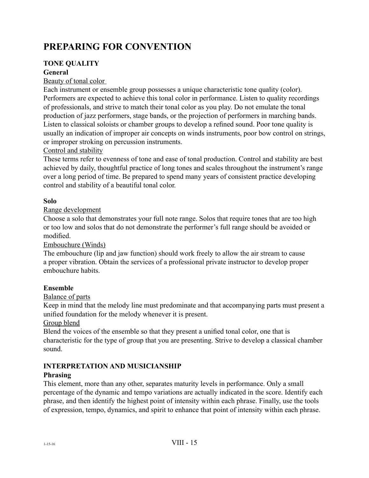# **PREPARING FOR CONVENTION**

# **TONE QUALITY**

# **General**

# Beauty of tonal color

Each instrument or ensemble group possesses a unique characteristic tone quality (color). Performers are expected to achieve this tonal color in performance. Listen to quality recordings of professionals, and strive to match their tonal color as you play. Do not emulate the tonal production of jazz performers, stage bands, or the projection of performers in marching bands. Listen to classical soloists or chamber groups to develop a refined sound. Poor tone quality is usually an indication of improper air concepts on winds instruments, poor bow control on strings, or improper stroking on percussion instruments.

# Control and stability

These terms refer to evenness of tone and ease of tonal production. Control and stability are best achieved by daily, thoughtful practice of long tones and scales throughout the instrument's range over a long period of time. Be prepared to spend many years of consistent practice developing control and stability of a beautiful tonal color.

# **Solo**

# Range development

Choose a solo that demonstrates your full note range. Solos that require tones that are too high or too low and solos that do not demonstrate the performer's full range should be avoided or modified.

Embouchure (Winds)

The embouchure (lip and jaw function) should work freely to allow the air stream to cause a proper vibration. Obtain the services of a professional private instructor to develop proper embouchure habits.

# **Ensemble**

# Balance of parts

Keep in mind that the melody line must predominate and that accompanying parts must present a unified foundation for the melody whenever it is present.

### Group blend

Blend the voices of the ensemble so that they present a unified tonal color, one that is characteristic for the type of group that you are presenting. Strive to develop a classical chamber sound.

# **INTERPRETATION AND MUSICIANSHIP**

# **Phrasing**

This element, more than any other, separates maturity levels in performance. Only a small percentage of the dynamic and tempo variations are actually indicated in the score. Identify each phrase, and then identify the highest point of intensity within each phrase. Finally, use the tools of expression, tempo, dynamics, and spirit to enhance that point of intensity within each phrase.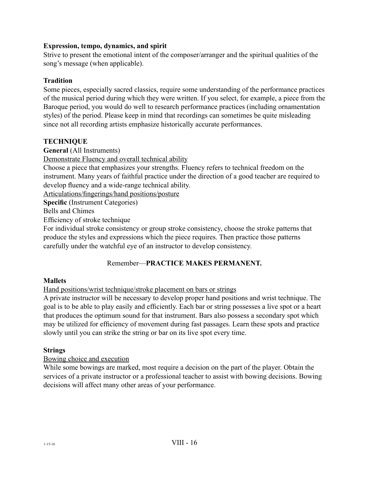# **Expression, tempo, dynamics, and spirit**

Strive to present the emotional intent of the composer/arranger and the spiritual qualities of the song's message (when applicable).

### **Tradition**

Some pieces, especially sacred classics, require some understanding of the performance practices of the musical period during which they were written. If you select, for example, a piece from the Baroque period, you would do well to research performance practices (including ornamentation styles) of the period. Please keep in mind that recordings can sometimes be quite misleading since not all recording artists emphasize historically accurate performances.

# **TECHNIQUE**

**General** (All Instruments)

Demonstrate Fluency and overall technical ability

Choose a piece that emphasizes your strengths. Fluency refers to technical freedom on the instrument. Many years of faithful practice under the direction of a good teacher are required to develop fluency and a wide-range technical ability.

Articulations/fingerings/hand positions/posture

**Specific** (Instrument Categories)

Bells and Chimes

Efficiency of stroke technique

For individual stroke consistency or group stroke consistency, choose the stroke patterns that produce the styles and expressions which the piece requires. Then practice those patterns carefully under the watchful eye of an instructor to develop consistency.

# Remember—**PRACTICE MAKES PERMANENT.**

### **Mallets**

Hand positions/wrist technique/stroke placement on bars or strings

A private instructor will be necessary to develop proper hand positions and wrist technique. The goal is to be able to play easily and efficiently. Each bar or string possesses a live spot or a heart that produces the optimum sound for that instrument. Bars also possess a secondary spot which may be utilized for efficiency of movement during fast passages. Learn these spots and practice slowly until you can strike the string or bar on its live spot every time.

### **Strings**

### Bowing choice and execution

While some bowings are marked, most require a decision on the part of the player. Obtain the services of a private instructor or a professional teacher to assist with bowing decisions. Bowing decisions will affect many other areas of your performance.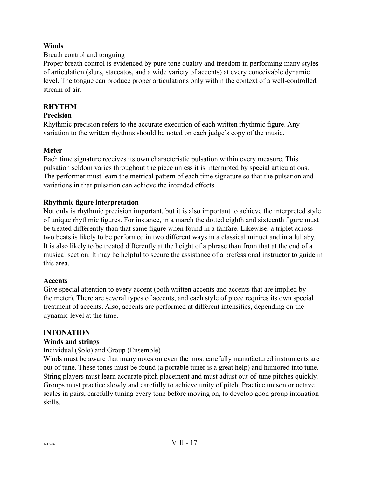# **Winds**

# Breath control and tonguing

Proper breath control is evidenced by pure tone quality and freedom in performing many styles of articulation (slurs, staccatos, and a wide variety of accents) at every conceivable dynamic level. The tongue can produce proper articulations only within the context of a well-controlled stream of air.

# **RHYTHM**

# **Precision**

Rhythmic precision refers to the accurate execution of each written rhythmic figure. Any variation to the written rhythms should be noted on each judge's copy of the music.

# **Meter**

Each time signature receives its own characteristic pulsation within every measure. This pulsation seldom varies throughout the piece unless it is interrupted by special articulations. The performer must learn the metrical pattern of each time signature so that the pulsation and variations in that pulsation can achieve the intended effects.

# **Rhythmic figure interpretation**

Not only is rhythmic precision important, but it is also important to achieve the interpreted style of unique rhythmic figures. For instance, in a march the dotted eighth and sixteenth figure must be treated differently than that same figure when found in a fanfare. Likewise, a triplet across two beats is likely to be performed in two different ways in a classical minuet and in a lullaby. It is also likely to be treated differently at the height of a phrase than from that at the end of a musical section. It may be helpful to secure the assistance of a professional instructor to guide in this area.

### **Accents**

Give special attention to every accent (both written accents and accents that are implied by the meter). There are several types of accents, and each style of piece requires its own special treatment of accents. Also, accents are performed at different intensities, depending on the dynamic level at the time.

### **INTONATION**

### **Winds and strings**

### Individual (Solo) and Group (Ensemble)

Winds must be aware that many notes on even the most carefully manufactured instruments are out of tune. These tones must be found (a portable tuner is a great help) and humored into tune. String players must learn accurate pitch placement and must adjust out-of-tune pitches quickly. Groups must practice slowly and carefully to achieve unity of pitch. Practice unison or octave scales in pairs, carefully tuning every tone before moving on, to develop good group intonation skills.